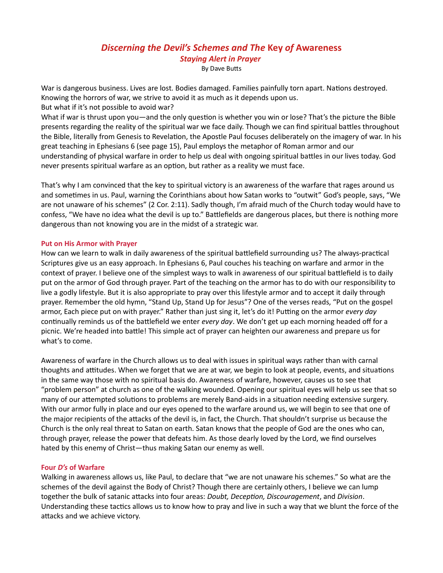# Discerning the Devil's Schemes and The Key of Awareness Staying Alert in Prayer By Dave BuƩs

War is dangerous business. Lives are lost. Bodies damaged. Families painfully torn apart. Nations destroyed. Knowing the horrors of war, we strive to avoid it as much as it depends upon us.

But what if it's not possible to avoid war?

What if war is thrust upon you—and the only question is whether you win or lose? That's the picture the Bible presents regarding the reality of the spiritual war we face daily. Though we can find spiritual battles throughout the Bible, literally from Genesis to Revelation, the Apostle Paul focuses deliberately on the imagery of war. In his great teaching in Ephesians 6 (see page 15), Paul employs the metaphor of Roman armor and our understanding of physical warfare in order to help us deal with ongoing spiritual battles in our lives today. God never presents spiritual warfare as an option, but rather as a reality we must face.

That's why I am convinced that the key to spiritual victory is an awareness of the warfare that rages around us and sometimes in us. Paul, warning the Corinthians about how Satan works to "outwit" God's people, says, "We are not unaware of his schemes" (2 Cor. 2:11). Sadly though, I'm afraid much of the Church today would have to confess, "We have no idea what the devil is up to." Battlefields are dangerous places, but there is nothing more dangerous than not knowing you are in the midst of a strategic war.

### Put on His Armor with Prayer

How can we learn to walk in daily awareness of the spiritual battlefield surrounding us? The always-practical Scriptures give us an easy approach. In Ephesians 6, Paul couches his teaching on warfare and armor in the context of prayer. I believe one of the simplest ways to walk in awareness of our spiritual battlefield is to daily put on the armor of God through prayer. Part of the teaching on the armor has to do with our responsibility to live a godly lifestyle. But it is also appropriate to pray over this lifestyle armor and to accept it daily through prayer. Remember the old hymn, "Stand Up, Stand Up for Jesus"? One of the verses reads, "Put on the gospel armor, Each piece put on with prayer." Rather than just sing it, let's do it! Putting on the armor every day continually reminds us of the battlefield we enter every day. We don't get up each morning headed off for a picnic. We're headed into battle! This simple act of prayer can heighten our awareness and prepare us for what's to come.

Awareness of warfare in the Church allows us to deal with issues in spiritual ways rather than with carnal thoughts and attitudes. When we forget that we are at war, we begin to look at people, events, and situations in the same way those with no spiritual basis do. Awareness of warfare, however, causes us to see that "problem person" at church as one of the walking wounded. Opening our spiritual eyes will help us see that so many of our attempted solutions to problems are merely Band-aids in a situation needing extensive surgery. With our armor fully in place and our eyes opened to the warfare around us, we will begin to see that one of the major recipients of the attacks of the devil is, in fact, the Church. That shouldn't surprise us because the Church is the only real threat to Satan on earth. Satan knows that the people of God are the ones who can, through prayer, release the power that defeats him. As those dearly loved by the Lord, we find ourselves hated by this enemy of Christ—thus making Satan our enemy as well.

### Four D's of Warfare

Walking in awareness allows us, like Paul, to declare that "we are not unaware his schemes." So what are the schemes of the devil against the Body of Christ? Though there are certainly others, I believe we can lump together the bulk of satanic attacks into four areas: Doubt, Deception, Discouragement, and Division. Understanding these tactics allows us to know how to pray and live in such a way that we blunt the force of the attacks and we achieve victory.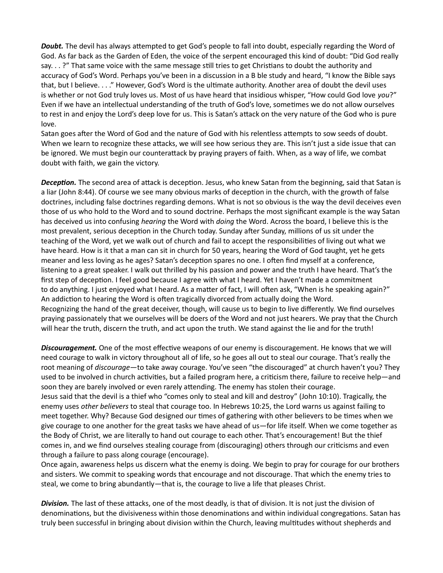Doubt. The devil has always attempted to get God's people to fall into doubt, especially regarding the Word of God. As far back as the Garden of Eden, the voice of the serpent encouraged this kind of doubt: "Did God really say. . . ?" That same voice with the same message still tries to get Christians to doubt the authority and accuracy of God's Word. Perhaps you've been in a discussion in a B ble study and heard, "I know the Bible says that, but I believe. . . ." However, God's Word is the ultimate authority. Another area of doubt the devil uses is whether or not God truly loves us. Most of us have heard that insidious whisper, "How could God love you?" Even if we have an intellectual understanding of the truth of God's love, sometimes we do not allow ourselves to rest in and enjoy the Lord's deep love for us. This is Satan's attack on the very nature of the God who is pure love.

Satan goes after the Word of God and the nature of God with his relentless attempts to sow seeds of doubt. When we learn to recognize these attacks, we will see how serious they are. This isn't just a side issue that can be ignored. We must begin our counterattack by praying prayers of faith. When, as a way of life, we combat doubt with faith, we gain the victory.

Deception. The second area of attack is deception. Jesus, who knew Satan from the beginning, said that Satan is a liar (John 8:44). Of course we see many obvious marks of deception in the church, with the growth of false doctrines, including false doctrines regarding demons. What is not so obvious is the way the devil deceives even those of us who hold to the Word and to sound doctrine. Perhaps the most significant example is the way Satan has deceived us into confusing *hearing* the Word with *doing* the Word. Across the board, I believe this is the most prevalent, serious deception in the Church today. Sunday after Sunday, millions of us sit under the teaching of the Word, yet we walk out of church and fail to accept the responsibilities of living out what we have heard. How is it that a man can sit in church for 50 years, hearing the Word of God taught, yet he gets meaner and less loving as he ages? Satan's deception spares no one. I often find myself at a conference, listening to a great speaker. I walk out thrilled by his passion and power and the truth I have heard. That's the first step of deception. I feel good because I agree with what I heard. Yet I haven't made a commitment to do anything. I just enjoyed what I heard. As a matter of fact, I will often ask, "When is he speaking again?" An addiction to hearing the Word is often tragically divorced from actually doing the Word. Recognizing the hand of the great deceiver, though, will cause us to begin to live differently. We find ourselves praying passionately that we ourselves will be doers of the Word and not just hearers. We pray that the Church will hear the truth, discern the truth, and act upon the truth. We stand against the lie and for the truth!

**Discouragement.** One of the most effective weapons of our enemy is discouragement. He knows that we will need courage to walk in victory throughout all of life, so he goes all out to steal our courage. That's really the root meaning of *discourage*—to take away courage. You've seen "the discouraged" at church haven't you? They used to be involved in church activities, but a failed program here, a criticism there, failure to receive help—and soon they are barely involved or even rarely attending. The enemy has stolen their courage.

Jesus said that the devil is a thief who "comes only to steal and kill and destroy" (John 10:10). Tragically, the enemy uses other believers to steal that courage too. In Hebrews 10:25, the Lord warns us against failing to meet together. Why? Because God designed our times of gathering with other believers to be times when we give courage to one another for the great tasks we have ahead of us—for life itself. When we come together as the Body of Christ, we are literally to hand out courage to each other. That's encouragement! But the thief comes in, and we find ourselves stealing courage from (discouraging) others through our criticisms and even through a failure to pass along courage (encourage).

Once again, awareness helps us discern what the enemy is doing. We begin to pray for courage for our brothers and sisters. We commit to speaking words that encourage and not discourage. That which the enemy tries to steal, we come to bring abundantly—that is, the courage to live a life that pleases Christ.

Division. The last of these attacks, one of the most deadly, is that of division. It is not just the division of denominations, but the divisiveness within those denominations and within individual congregations. Satan has truly been successful in bringing about division within the Church, leaving mulƟtudes without shepherds and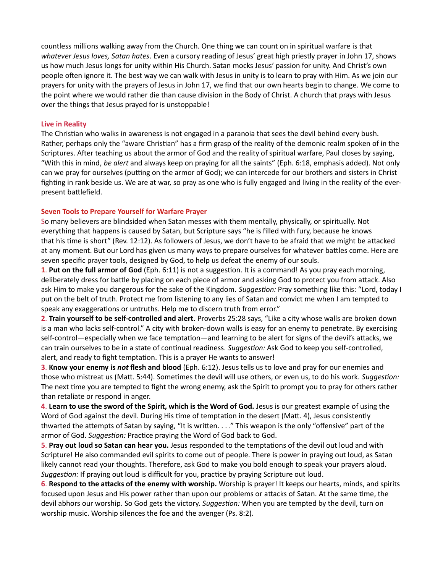countless millions walking away from the Church. One thing we can count on in spiritual warfare is that whatever Jesus loves, Satan hates. Even a cursory reading of Jesus' great high priestly prayer in John 17, shows us how much Jesus longs for unity within His Church. Satan mocks Jesus' passion for unity. And Christ's own people often ignore it. The best way we can walk with Jesus in unity is to learn to pray with Him. As we join our prayers for unity with the prayers of Jesus in John 17, we find that our own hearts begin to change. We come to the point where we would rather die than cause division in the Body of Christ. A church that prays with Jesus over the things that Jesus prayed for is unstoppable!

#### Live in Reality

The Christian who walks in awareness is not engaged in a paranoia that sees the devil behind every bush. Rather, perhaps only the "aware Christian" has a firm grasp of the reality of the demonic realm spoken of in the Scriptures. After teaching us about the armor of God and the reality of spiritual warfare, Paul closes by saying, "With this in mind, be alert and always keep on praying for all the saints" (Eph. 6:18, emphasis added). Not only can we pray for ourselves (putting on the armor of God); we can intercede for our brothers and sisters in Christ fighting in rank beside us. We are at war, so pray as one who is fully engaged and living in the reality of the everpresent battlefield.

#### Seven Tools to Prepare Yourself for Warfare Prayer

So many believers are blindsided when Satan messes with them mentally, physically, or spiritually. Not everything that happens is caused by Satan, but Scripture says "he is filled with fury, because he knows that his time is short" (Rev. 12:12). As followers of Jesus, we don't have to be afraid that we might be attacked at any moment. But our Lord has given us many ways to prepare ourselves for whatever battles come. Here are seven specific prayer tools, designed by God, to help us defeat the enemy of our souls.

1. Put on the full armor of God (Eph. 6:11) is not a suggestion. It is a command! As you pray each morning, deliberately dress for battle by placing on each piece of armor and asking God to protect you from attack. Also ask Him to make you dangerous for the sake of the Kingdom. Suggestion: Pray something like this: "Lord, today I put on the belt of truth. Protect me from listening to any lies of Satan and convict me when I am tempted to speak any exaggerations or untruths. Help me to discern truth from error."

2. Train yourself to be self-controlled and alert. Proverbs 25:28 says, "Like a city whose walls are broken down is a man who lacks self-control." A city with broken-down walls is easy for an enemy to penetrate. By exercising self-control—especially when we face temptation—and learning to be alert for signs of the devil's attacks, we can train ourselves to be in a state of continual readiness. Suggestion: Ask God to keep you self-controlled, alert, and ready to fight temptation. This is a prayer He wants to answer!

**3. Know your enemy is not flesh and blood** (Eph. 6:12). Jesus tells us to love and pray for our enemies and those who mistreat us (Matt. 5:44). Sometimes the devil will use others, or even us, to do his work. Suggestion: The next time you are tempted to fight the wrong enemy, ask the Spirit to prompt you to pray for others rather than retaliate or respond in anger.

4. Learn to use the sword of the Spirit, which is the Word of God. Jesus is our greatest example of using the Word of God against the devil. During His time of temptation in the desert (Matt. 4), Jesus consistently thwarted the attempts of Satan by saying, "It is written. . . ." This weapon is the only "offensive" part of the armor of God. Suggestion: Practice praying the Word of God back to God.

5. Pray out loud so Satan can hear you. Jesus responded to the temptations of the devil out loud and with Scripture! He also commanded evil spirits to come out of people. There is power in praying out loud, as Satan likely cannot read your thoughts. Therefore, ask God to make you bold enough to speak your prayers aloud. Suggestion: If praying out loud is difficult for you, practice by praying Scripture out loud.

6. Respond to the attacks of the enemy with worship. Worship is prayer! It keeps our hearts, minds, and spirits focused upon Jesus and His power rather than upon our problems or attacks of Satan. At the same time, the devil abhors our worship. So God gets the victory. Suggestion: When you are tempted by the devil, turn on worship music. Worship silences the foe and the avenger (Ps. 8:2).